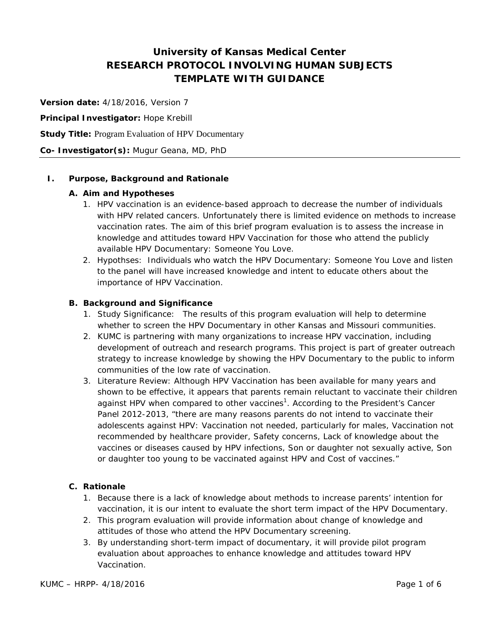# **University of Kansas Medical Center RESEARCH PROTOCOL INVOLVING HUMAN SUBJECTS TEMPLATE WITH GUIDANCE**

**Version date:** 4/18/2016, Version 7

**Principal Investigator:** Hope Krebill

**Study Title:** Program Evaluation of HPV Documentary

**Co- Investigator(s):** Mugur Geana, MD, PhD

### **I. Purpose, Background and Rationale**

### **A. Aim and Hypotheses**

- 1. HPV vaccination is an evidence-based approach to decrease the number of individuals with HPV related cancers. Unfortunately there is limited evidence on methods to increase vaccination rates. The aim of this brief program evaluation is to assess the increase in knowledge and attitudes toward HPV Vaccination for those who attend the publicly available HPV Documentary: Someone You Love.
- 2. Hypothses: Individuals who watch the HPV Documentary: Someone You Love and listen to the panel will have increased knowledge and intent to educate others about the importance of HPV Vaccination.

### **B. Background and Significance**

- 1. Study Significance: The results of this program evaluation will help to determine whether to screen the HPV Documentary in other Kansas and Missouri communities.
- 2. KUMC is partnering with many organizations to increase HPV vaccination, including development of outreach and research programs. This project is part of greater outreach strategy to increase knowledge by showing the HPV Documentary to the public to inform communities of the low rate of vaccination.
- 3. Literature Review: Although HPV Vaccination has been available for many years and shown to be effective, it appears that parents remain reluctant to vaccinate their children against HPV when compared to other vaccines<sup>1</sup>. According to the President's Cancer Panel 2012-2013, "there are many reasons parents do not intend to vaccinate their adolescents against HPV: Vaccination not needed, particularly for males, Vaccination not recommended by healthcare provider, Safety concerns, Lack of knowledge about the vaccines or diseases caused by HPV infections, Son or daughter not sexually active, Son or daughter too young to be vaccinated against HPV and Cost of vaccines."

### **C. Rationale**

- 1. Because there is a lack of knowledge about methods to increase parents' intention for vaccination, it is our intent to evaluate the short term impact of the HPV Documentary.
- 2. This program evaluation will provide information about change of knowledge and attitudes of those who attend the HPV Documentary screening.
- 3. By understanding short-term impact of documentary, it will provide pilot program evaluation about approaches to enhance knowledge and attitudes toward HPV Vaccination.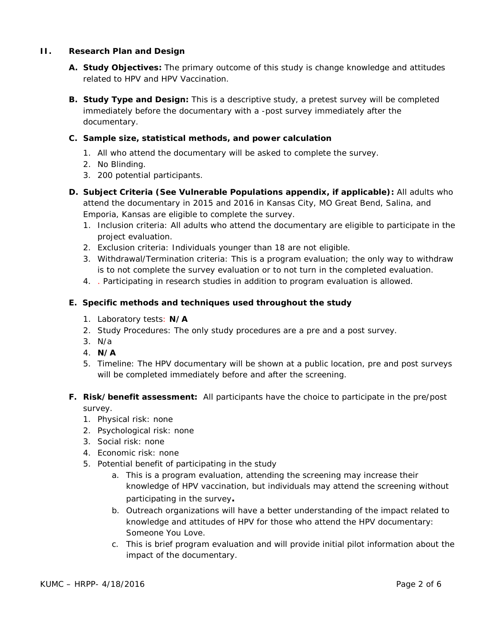### **II. Research Plan and Design**

- **A. Study Objectives:** The primary outcome of this study is change knowledge and attitudes related to HPV and HPV Vaccination.
- **B. Study Type and Design:** This is a descriptive study, a pretest survey will be completed immediately before the documentary with a -post survey immediately after the documentary.

### **C. Sample size, statistical methods, and power calculation**

- 1. All who attend the documentary will be asked to complete the survey.
- 2. No Blinding.
- 3. 200 potential participants.
- **D. Subject Criteria (See Vulnerable Populations appendix, if applicable):** All adults who attend the documentary in 2015 and 2016 in Kansas City, MO Great Bend, Salina, and Emporia, Kansas are eligible to complete the survey.
	- 1. Inclusion criteria: All adults who attend the documentary are eligible to participate in the project evaluation.
	- 2. Exclusion criteria: Individuals younger than 18 are not eligible.
	- 3. Withdrawal/Termination criteria: This is a program evaluation; the only way to withdraw is to not complete the survey evaluation or to not turn in the completed evaluation.
	- 4. . Participating in research studies in addition to program evaluation is allowed.

### **E. Specific methods and techniques used throughout the study**

- 1. Laboratory tests: **N/A**
- 2. Study Procedures: The only study procedures are a pre and a post survey.
- 3. N/a
- 4. **N/A**
- 5. Timeline: The HPV documentary will be shown at a public location, pre and post surveys will be completed immediately before and after the screening.

# **F. Risk/benefit assessment:** All participants have the choice to participate in the pre/post survey.

- 1. Physical risk: none
- 2. Psychological risk: none
- 3. Social risk: none
- 4. Economic risk: none
- 5. Potential benefit of participating in the study
	- a. This is a program evaluation, attending the screening may increase their knowledge of HPV vaccination, but individuals may attend the screening without participating in the survey**.**
	- b. Outreach organizations will have a better understanding of the impact related to knowledge and attitudes of HPV for those who attend the HPV documentary: Someone You Love.
	- c. This is brief program evaluation and will provide initial pilot information about the impact of the documentary.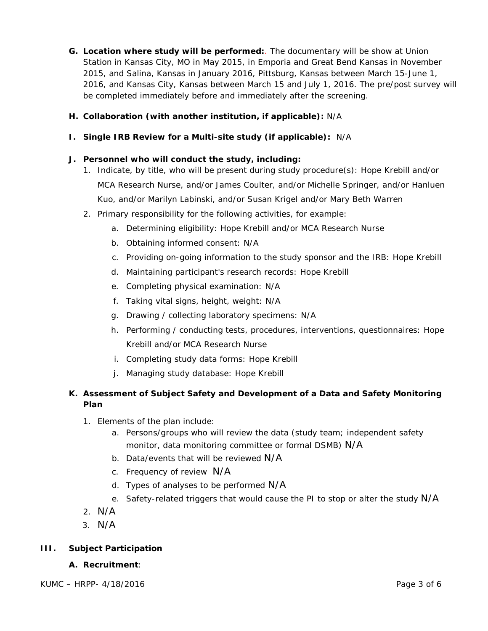**G. Location where study will be performed:**. The documentary will be show at Union Station in Kansas City, MO in May 2015, in Emporia and Great Bend Kansas in November 2015, and Salina, Kansas in January 2016, Pittsburg, Kansas between March 15-June 1, 2016, and Kansas City, Kansas between March 15 and July 1, 2016. The pre/post survey will be completed immediately before and immediately after the screening.

# **H. Collaboration (with another institution, if applicable):** N/A

### **I. Single IRB Review for a Multi-site study (if applicable):** N/A

### **J. Personnel who will conduct the study, including:**

- 1. Indicate, by title, who will be present during study procedure(s): Hope Krebill and/or MCA Research Nurse, and/or James Coulter, and/or Michelle Springer, and/or Hanluen Kuo, and/or Marilyn Labinski, and/or Susan Krigel and/or Mary Beth Warren
- 2. Primary responsibility for the following activities, for example:
	- a. Determining eligibility: Hope Krebill and/or MCA Research Nurse
	- b. Obtaining informed consent: N/A
	- c. Providing on-going information to the study sponsor and the IRB: Hope Krebill
	- d. Maintaining participant's research records: Hope Krebill
	- e. Completing physical examination: N/A
	- f. Taking vital signs, height, weight: N/A
	- g. Drawing / collecting laboratory specimens: N/A
	- h. Performing / conducting tests, procedures, interventions, questionnaires: Hope Krebill and/or MCA Research Nurse
	- i. Completing study data forms: Hope Krebill
	- j. Managing study database: Hope Krebill

# **K. Assessment of Subject Safety and Development of a Data and Safety Monitoring Plan**

- 1. Elements of the plan include:
	- a. Persons/groups who will review the data (study team; independent safety monitor, data monitoring committee or formal DSMB) N/A
	- b. Data/events that will be reviewed N/A
	- c. Frequency of review N/A
	- d. Types of analyses to be performed  $N/A$
	- e. Safety-related triggers that would cause the PI to stop or alter the study N/A
- 2. N/A
- 3. N/A

# **III. Subject Participation**

### **A. Recruitment**: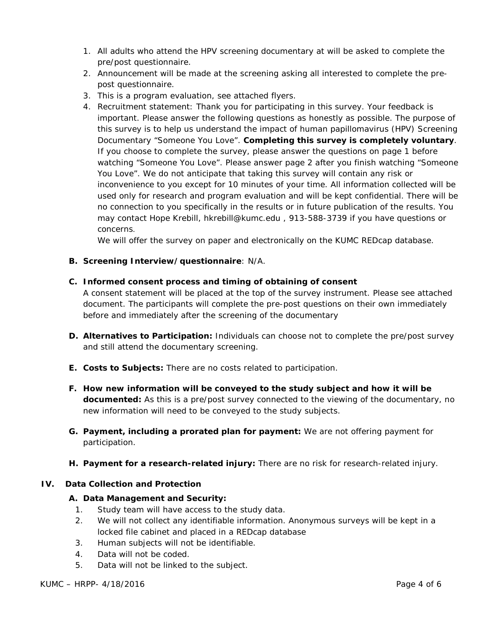- 1. All adults who attend the HPV screening documentary at will be asked to complete the pre/post questionnaire.
- 2. Announcement will be made at the screening asking all interested to complete the prepost questionnaire.
- 3. This is a program evaluation, see attached flyers.
- 4. Recruitment statement: Thank you for participating in this survey. Your feedback is important. Please answer the following questions as honestly as possible. The purpose of this survey is to help us understand the impact of human papillomavirus (HPV) Screening Documentary "Someone You Love". **Completing this survey is completely voluntary**. If you choose to complete the survey, please answer the questions on page 1 before watching "Someone You Love". Please answer page 2 after you finish watching "Someone You Love". We do not anticipate that taking this survey will contain any risk or inconvenience to you except for 10 minutes of your time. All information collected will be used only for research and program evaluation and will be kept confidential. There will be no connection to you specifically in the results or in future publication of the results. You may contact Hope Krebill, hkrebill@kumc.edu , 913-588-3739 if you have questions or concerns.

We will offer the survey on paper and electronically on the KUMC REDcap database.

**B. Screening Interview/questionnaire**: N/A.

### **C. Informed consent process and timing of obtaining of consent**

A consent statement will be placed at the top of the survey instrument. Please see attached document. The participants will complete the pre-post questions on their own immediately before and immediately after the screening of the documentary

- **D. Alternatives to Participation:** Individuals can choose not to complete the pre/post survey and still attend the documentary screening.
- **E. Costs to Subjects:** There are no costs related to participation.
- **F. How new information will be conveyed to the study subject and how it will be documented:** As this is a pre/post survey connected to the viewing of the documentary, no new information will need to be conveyed to the study subjects.
- **G. Payment, including a prorated plan for payment:** We are not offering payment for participation.
- **H. Payment for a research-related injury:** There are no risk for research-related injury.

### **IV. Data Collection and Protection**

### **A. Data Management and Security:**

- 1. Study team will have access to the study data.
- 2. We will not collect any identifiable information. Anonymous surveys will be kept in a locked file cabinet and placed in a REDcap database
- 3. Human subjects will not be identifiable.
- 4. Data will not be coded.
- 5. Data will not be linked to the subject.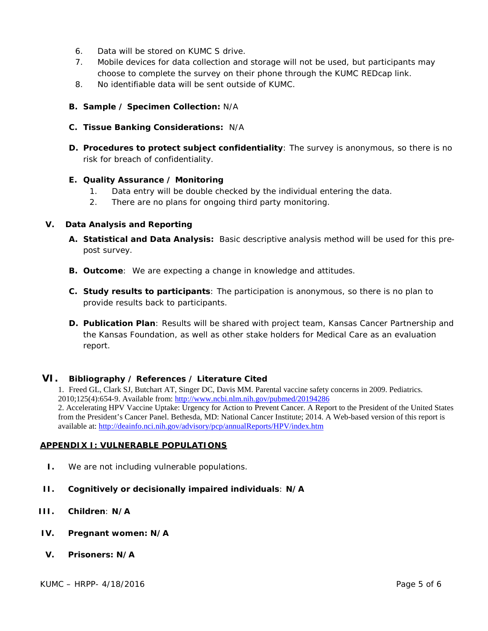- 6. Data will be stored on KUMC S drive.
- 7. Mobile devices for data collection and storage will not be used, but participants may choose to complete the survey on their phone through the KUMC REDcap link.
- 8. No identifiable data will be sent outside of KUMC.
- **B. Sample / Specimen Collection:** N/A
- **C. Tissue Banking Considerations:** N/A
- **D. Procedures to protect subject confidentiality**: The survey is anonymous, so there is no risk for breach of confidentiality.

#### **E. Quality Assurance / Monitoring**

- 1. Data entry will be double checked by the individual entering the data.
- 2. There are no plans for ongoing third party monitoring.

#### **V. Data Analysis and Reporting**

- **A. Statistical and Data Analysis:** Basic descriptive analysis method will be used for this prepost survey.
- **B. Outcome**: We are expecting a change in knowledge and attitudes.
- **C. Study results to participants**: The participation is anonymous, so there is no plan to provide results back to participants.
- **D. Publication Plan**: Results will be shared with project team, Kansas Cancer Partnership and the Kansas Foundation, as well as other stake holders for Medical Care as an evaluation report.

### **VI. Bibliography / References / Literature Cited**

1. Freed GL, Clark SJ, Butchart AT, Singer DC, Davis MM. Parental vaccine safety concerns in 2009. Pediatrics. 2010;125(4):654-9. Available from:<http://www.ncbi.nlm.nih.gov/pubmed/20194286> 2. Accelerating HPV Vaccine Uptake: Urgency for Action to Prevent Cancer. A Report to the President of the United States from the President's Cancer Panel. Bethesda, MD: National Cancer Institute; 2014. A Web-based version of this report is available at:<http://deainfo.nci.nih.gov/advisory/pcp/annualReports/HPV/index.htm>

#### **APPENDIX I: VULNERABLE POPULATIONS**

- **I.** We are not including vulnerable populations.
- **II. Cognitively or decisionally impaired individuals**: **N/A**
- **III. Children**: **N/A**
- **IV. Pregnant women: N/A**
- **V. Prisoners: N/A**